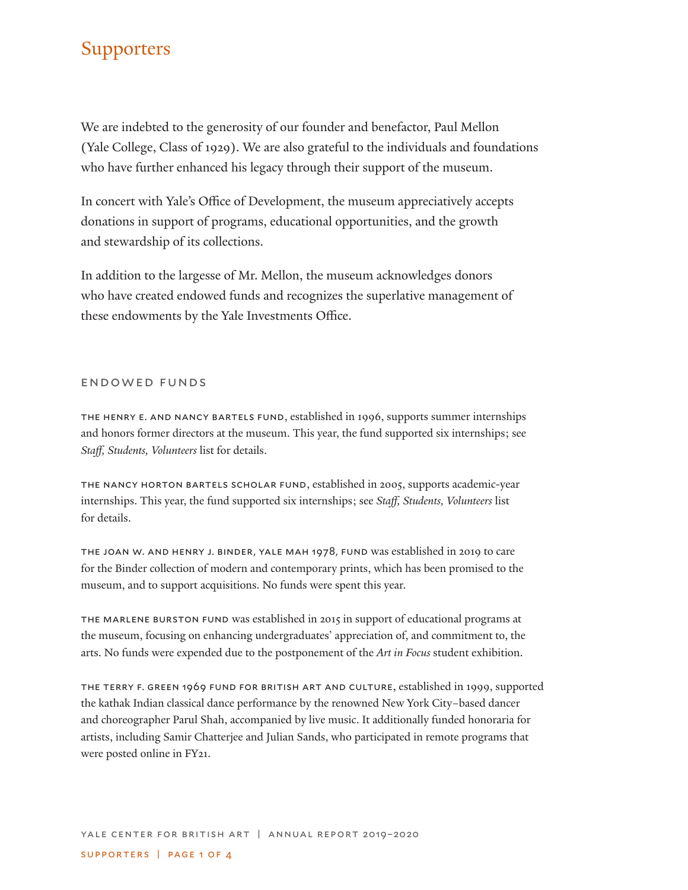# **Supporters**

We are indebted to the generosity of our founder and benefactor, Paul Mellon (Yale College, Class of 1929). We are also grateful to the individuals and foundations who have further enhanced his legacy through their support of the museum.

In concert with Yale's Office of Development, the museum appreciatively accepts donations in support of programs, educational opportunities, and the growth and stewardship of its collections.

In addition to the largesse of Mr. Mellon, the museum acknowledges donors who have created endowed funds and recognizes the superlative management of these endowments by the Yale Investments Office.

#### endowed funds

the henry e. and nancy bartels fund, established in 1996, supports summer internships and honors former directors at the museum. This year, the fund supported six internships; see *Staff, Students, Volunteers* list for details.

the nancy horton bartels scholar fund, established in 2005, supports academic-year internships. This year, the fund supported six internships; see *Staff, Students, Volunteers* list for details.

the joan w. and henry j. binder, yale mah 1978, fund was established in 2019 to care for the Binder collection of modern and contemporary prints, which has been promised to the museum, and to support acquisitions. No funds were spent this year.

the marlene burston fund was established in 2015 in support of educational programs at the museum, focusing on enhancing undergraduates' appreciation of, and commitment to, the arts. No funds were expended due to the postponement of the *Art in Focus* student exhibition.

the terry f. green 1969 fund for british art and culture, established in 1999, supported the kathak Indian classical dance performance by the renowned New York City–based dancer and choreographer Parul Shah, accompanied by live music. It additionally funded honoraria for artists, including Samir Chatterjee and Julian Sands, who participated in remote programs that were posted online in FY21.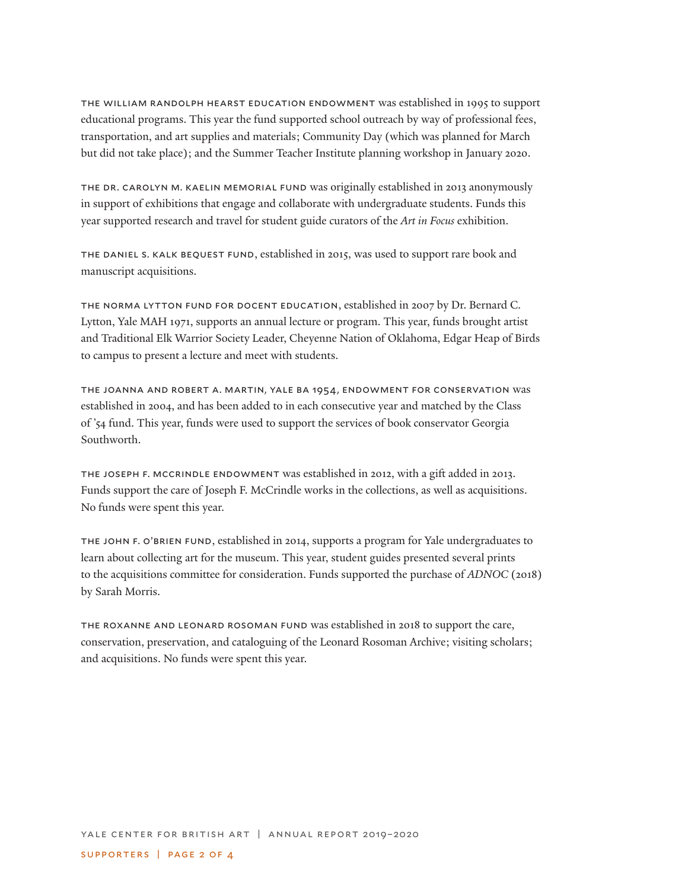the william randolph hearst education endowment was established in 1995 to support educational programs. This year the fund supported school outreach by way of professional fees, transportation, and art supplies and materials; Community Day (which was planned for March but did not take place); and the Summer Teacher Institute planning workshop in January 2020.

the dr. carolyn m. kaelin memorial fund was originally established in 2013 anonymously in support of exhibitions that engage and collaborate with undergraduate students. Funds this year supported research and travel for student guide curators of the *Art in Focus* exhibition.

the daniel s. kalk bequest fund, established in 2015, was used to support rare book and manuscript acquisitions.

the norma lytton fund for docent education, established in 2007 by Dr. Bernard C. Lytton, Yale MAH 1971, supports an annual lecture or program. This year, funds brought artist and Traditional Elk Warrior Society Leader, Cheyenne Nation of Oklahoma, Edgar Heap of Birds to campus to present a lecture and meet with students.

the joanna and robert a. martin, yale ba 1954, endowment for conservation was established in 2004, and has been added to in each consecutive year and matched by the Class of '54 fund. This year, funds were used to support the services of book conservator Georgia Southworth.

the joseph f. mccrindle endowment was established in 2012, with a gift added in 2013. Funds support the care of Joseph F. McCrindle works in the collections, as well as acquisitions. No funds were spent this year.

the john f. o'brien fund, established in 2014, supports a program for Yale undergraduates to learn about collecting art for the museum. This year, student guides presented several prints to the acquisitions committee for consideration. Funds supported the purchase of *ADNOC* (2018) by Sarah Morris.

the roxanne and leonard rosoman fund was established in 2018 to support the care, conservation, preservation, and cataloguing of the Leonard Rosoman Archive; visiting scholars; and acquisitions. No funds were spent this year.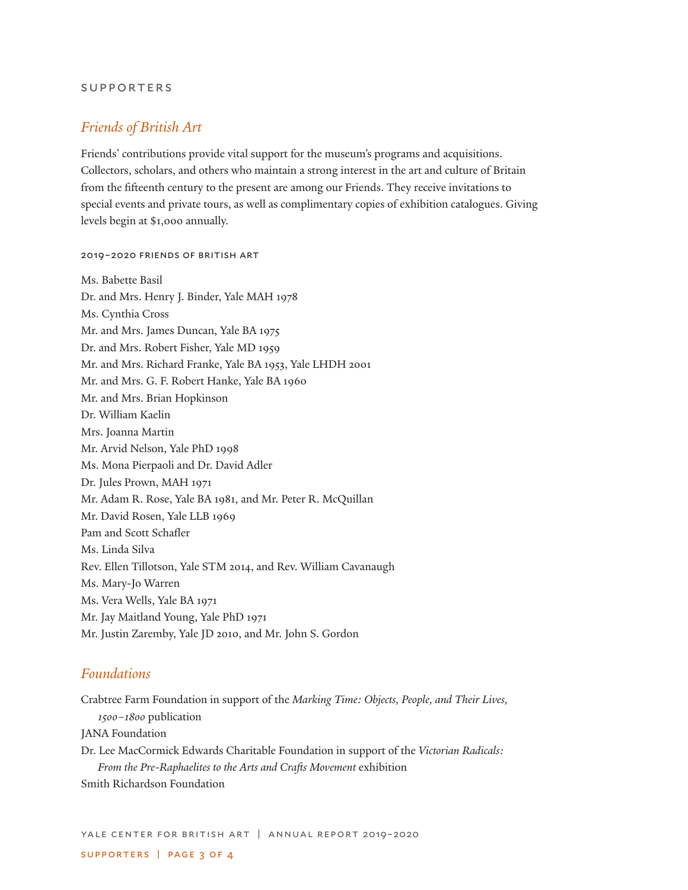#### supporters

### *Friends of British Art*

Friends' contributions provide vital support for the museum's programs and acquisitions. Collectors, scholars, and others who maintain a strong interest in the art and culture of Britain from the fifteenth century to the present are among our Friends. They receive invitations to special events and private tours, as well as complimentary copies of exhibition catalogues. Giving levels begin at \$1,000 annually.

#### 2019–2020 friends of british art

Ms. Babette Basil Dr. and Mrs. Henry J. Binder, Yale MAH 1978 Ms. Cynthia Cross Mr. and Mrs. James Duncan, Yale BA 1975 Dr. and Mrs. Robert Fisher, Yale MD 1959 Mr. and Mrs. Richard Franke, Yale BA 1953, Yale LHDH 2001 Mr. and Mrs. G. F. Robert Hanke, Yale BA 1960 Mr. and Mrs. Brian Hopkinson Dr. William Kaelin Mrs. Joanna Martin Mr. Arvid Nelson, Yale PhD 1998 Ms. Mona Pierpaoli and Dr. David Adler Dr. Jules Prown, MAH 1971 Mr. Adam R. Rose, Yale BA 1981, and Mr. Peter R. McQuillan Mr. David Rosen, Yale LLB 1969 Pam and Scott Schafler Ms. Linda Silva Rev. Ellen Tillotson, Yale STM 2014, and Rev. William Cavanaugh Ms. Mary-Jo Warren Ms. Vera Wells, Yale BA 1971 Mr. Jay Maitland Young, Yale PhD 1971 Mr. Justin Zaremby, Yale JD 2010, and Mr. John S. Gordon

### *Foundations*

Crabtree Farm Foundation in support of the *Marking Time: Objects, People, and Their Lives, 1500–1800* publication JANA Foundation Dr. Lee MacCormick Edwards Charitable Foundation in support of the *Victorian Radicals: From the Pre-Raphaelites to the Arts and Crafts Movement* exhibition Smith Richardson Foundation